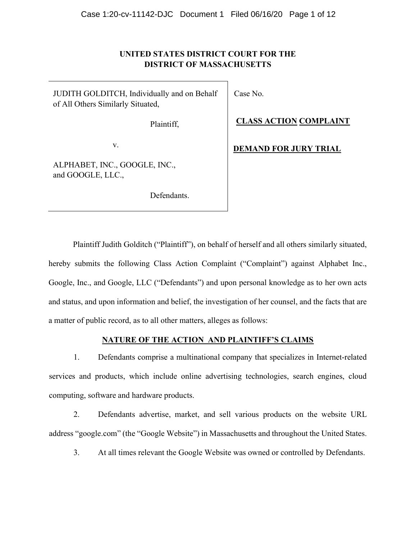# UNITED STATES DISTRICT COURT FOR THE DISTRICT OF MASSACHUSETTS

JUDITH GOLDITCH, Individually and on Behalf of All Others Similarly Situated,

Plaintiff,

v.

ALPHABET, INC., GOOGLE, INC., and GOOGLE, LLC.,

Defendants.

Case No.

CLASS ACTION COMPLAINT

DEMAND FOR JURY TRIAL

Plaintiff Judith Golditch ("Plaintiff"), on behalf of herself and all others similarly situated, hereby submits the following Class Action Complaint ("Complaint") against Alphabet Inc., Google, Inc., and Google, LLC ("Defendants") and upon personal knowledge as to her own acts and status, and upon information and belief, the investigation of her counsel, and the facts that are a matter of public record, as to all other matters, alleges as follows:

# NATURE OF THE ACTION\_AND PLAINTIFF'S CLAIMS

1. Defendants comprise a multinational company that specializes in Internet-related services and products, which include online advertising technologies, search engines, cloud computing, software and hardware products.

2. Defendants advertise, market, and sell various products on the website URL address "google.com" (the "Google Website") in Massachusetts and throughout the United States.

3. At all times relevant the Google Website was owned or controlled by Defendants.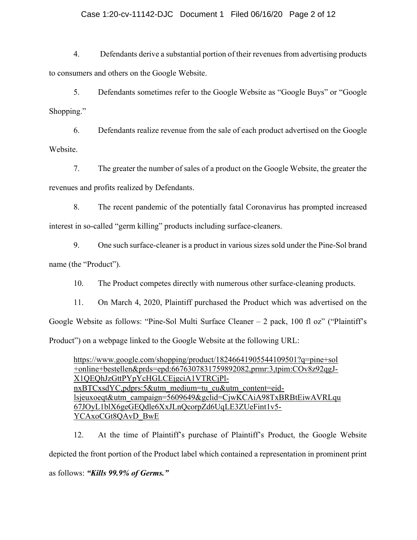# Case 1:20-cv-11142-DJC Document 1 Filed 06/16/20 Page 2 of 12

4. Defendants derive a substantial portion of their revenues from advertising products to consumers and others on the Google Website.

5. Defendants sometimes refer to the Google Website as "Google Buys" or "Google Shopping."

6. Defendants realize revenue from the sale of each product advertised on the Google Website.

7. The greater the number of sales of a product on the Google Website, the greater the revenues and profits realized by Defendants.

8. The recent pandemic of the potentially fatal Coronavirus has prompted increased interest in so-called "germ killing" products including surface-cleaners.

9. One such surface-cleaner is a product in various sizes sold under the Pine-Sol brand name (the "Product").

10. The Product competes directly with numerous other surface-cleaning products.

11. On March 4, 2020, Plaintiff purchased the Product which was advertised on the Google Website as follows: "Pine-Sol Multi Surface Cleaner  $-$  2 pack, 100 fl oz" ("Plaintiff's Product") on a webpage linked to the Google Website at the following URL:

https://www.google.com/shopping/product/18246641905544109501?q=pine+sol +online+bestellen&prds=epd:6676307831759892082,prmr:3,tpim:COv8z92qgJ-X1QEQhJzGttPYpYcHGLCEjgciA1VTRCjPlnxBTCxsdYC,pdprs:5&utm\_medium=tu\_cu&utm\_content=eidlsjeuxoeqt&utm\_campaign=5609649&gclid=CjwKCAiA98TxBRBtEiwAVRLqu 67JOyL1blX6geGEQdle6XxJLnQcorpZd6UqLE3ZUeFint1v5- YCAxoCGt8QAvD\_BwE

12. At the time of Plaintiff's purchase of Plaintiff's Product, the Google Website depicted the front portion of the Product label which contained a representation in prominent print as follows: "Kills 99.9% of Germs."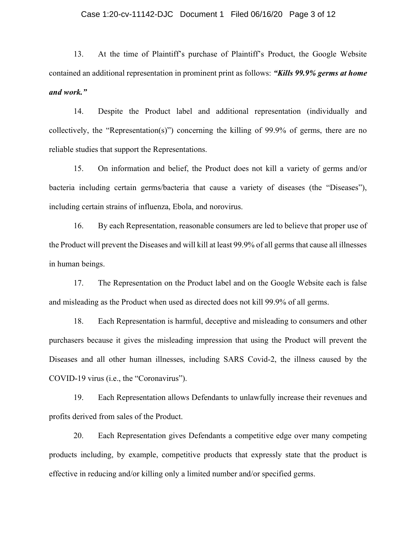## Case 1:20-cv-11142-DJC Document 1 Filed 06/16/20 Page 3 of 12

13. At the time of Plaintiff's purchase of Plaintiff's Product, the Google Website contained an additional representation in prominent print as follows: "Kills 99.9% germs at home and work."

14. Despite the Product label and additional representation (individually and collectively, the "Representation(s)") concerning the killing of 99.9% of germs, there are no reliable studies that support the Representations.

15. On information and belief, the Product does not kill a variety of germs and/or bacteria including certain germs/bacteria that cause a variety of diseases (the "Diseases"), including certain strains of influenza, Ebola, and norovirus.

16. By each Representation, reasonable consumers are led to believe that proper use of the Product will prevent the Diseases and will kill at least 99.9% of all germs that cause all illnesses in human beings.

17. The Representation on the Product label and on the Google Website each is false and misleading as the Product when used as directed does not kill 99.9% of all germs.

18. Each Representation is harmful, deceptive and misleading to consumers and other purchasers because it gives the misleading impression that using the Product will prevent the Diseases and all other human illnesses, including SARS Covid-2, the illness caused by the COVID-19 virus (i.e., the "Coronavirus").

19. Each Representation allows Defendants to unlawfully increase their revenues and profits derived from sales of the Product.

20. Each Representation gives Defendants a competitive edge over many competing products including, by example, competitive products that expressly state that the product is effective in reducing and/or killing only a limited number and/or specified germs.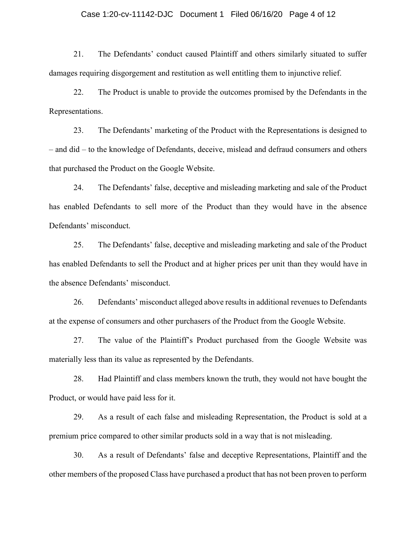## Case 1:20-cv-11142-DJC Document 1 Filed 06/16/20 Page 4 of 12

21. The Defendants' conduct caused Plaintiff and others similarly situated to suffer damages requiring disgorgement and restitution as well entitling them to injunctive relief.

22. The Product is unable to provide the outcomes promised by the Defendants in the Representations.

23. The Defendants' marketing of the Product with the Representations is designed to – and did – to the knowledge of Defendants, deceive, mislead and defraud consumers and others that purchased the Product on the Google Website.

24. The Defendants' false, deceptive and misleading marketing and sale of the Product has enabled Defendants to sell more of the Product than they would have in the absence Defendants' misconduct.

25. The Defendants' false, deceptive and misleading marketing and sale of the Product has enabled Defendants to sell the Product and at higher prices per unit than they would have in the absence Defendants' misconduct.

26. Defendants' misconduct alleged above results in additional revenues to Defendants at the expense of consumers and other purchasers of the Product from the Google Website.

27. The value of the Plaintiff's Product purchased from the Google Website was materially less than its value as represented by the Defendants.

28. Had Plaintiff and class members known the truth, they would not have bought the Product, or would have paid less for it.

29. As a result of each false and misleading Representation, the Product is sold at a premium price compared to other similar products sold in a way that is not misleading.

30. As a result of Defendants' false and deceptive Representations, Plaintiff and the other members of the proposed Class have purchased a product that has not been proven to perform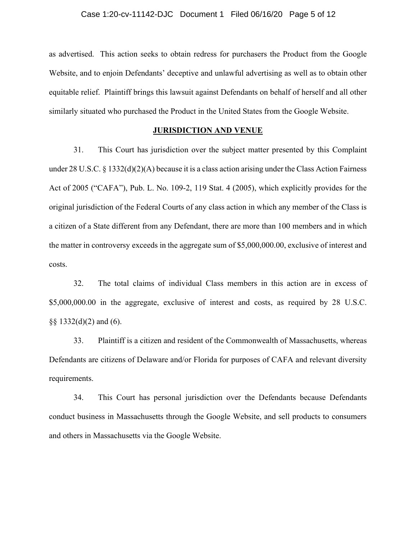as advertised. This action seeks to obtain redress for purchasers the Product from the Google Website, and to enjoin Defendants' deceptive and unlawful advertising as well as to obtain other equitable relief. Plaintiff brings this lawsuit against Defendants on behalf of herself and all other similarly situated who purchased the Product in the United States from the Google Website.

#### JURISDICTION AND VENUE

31. This Court has jurisdiction over the subject matter presented by this Complaint under 28 U.S.C. § 1332(d)(2)(A) because it is a class action arising under the Class Action Fairness Act of 2005 ("CAFA"), Pub. L. No. 109-2, 119 Stat. 4 (2005), which explicitly provides for the original jurisdiction of the Federal Courts of any class action in which any member of the Class is a citizen of a State different from any Defendant, there are more than 100 members and in which the matter in controversy exceeds in the aggregate sum of \$5,000,000.00, exclusive of interest and costs.

32. The total claims of individual Class members in this action are in excess of \$5,000,000.00 in the aggregate, exclusive of interest and costs, as required by 28 U.S.C.  $\S\S 1332(d)(2)$  and (6).

33. Plaintiff is a citizen and resident of the Commonwealth of Massachusetts, whereas Defendants are citizens of Delaware and/or Florida for purposes of CAFA and relevant diversity requirements.

34. This Court has personal jurisdiction over the Defendants because Defendants conduct business in Massachusetts through the Google Website, and sell products to consumers and others in Massachusetts via the Google Website.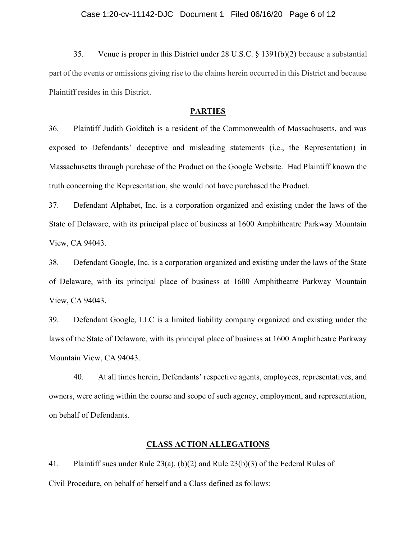35. Venue is proper in this District under 28 U.S.C. § 1391(b)(2) because a substantial part of the events or omissions giving rise to the claims herein occurred in this District and because Plaintiff resides in this District.

### **PARTIES**

36. Plaintiff Judith Golditch is a resident of the Commonwealth of Massachusetts, and was exposed to Defendants' deceptive and misleading statements (i.e., the Representation) in Massachusetts through purchase of the Product on the Google Website. Had Plaintiff known the truth concerning the Representation, she would not have purchased the Product.

37. Defendant Alphabet, Inc. is a corporation organized and existing under the laws of the State of Delaware, with its principal place of business at 1600 Amphitheatre Parkway Mountain View, CA 94043.

38. Defendant Google, Inc. is a corporation organized and existing under the laws of the State of Delaware, with its principal place of business at 1600 Amphitheatre Parkway Mountain View, CA 94043.

39. Defendant Google, LLC is a limited liability company organized and existing under the laws of the State of Delaware, with its principal place of business at 1600 Amphitheatre Parkway Mountain View, CA 94043.

40. At all times herein, Defendants' respective agents, employees, representatives, and owners, were acting within the course and scope of such agency, employment, and representation, on behalf of Defendants.

## CLASS ACTION ALLEGATIONS

41. Plaintiff sues under Rule 23(a), (b)(2) and Rule 23(b)(3) of the Federal Rules of Civil Procedure, on behalf of herself and a Class defined as follows: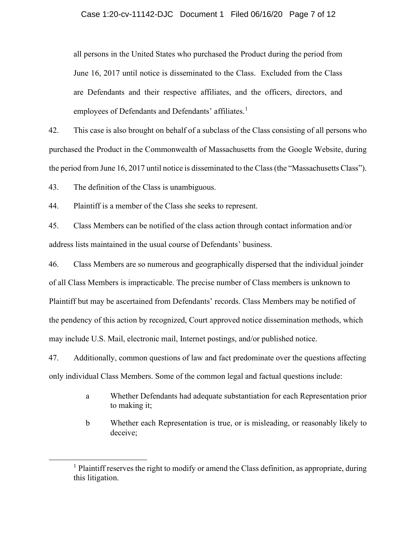all persons in the United States who purchased the Product during the period from June 16, 2017 until notice is disseminated to the Class. Excluded from the Class are Defendants and their respective affiliates, and the officers, directors, and employees of Defendants and Defendants' affiliates.<sup>1</sup>

42. This case is also brought on behalf of a subclass of the Class consisting of all persons who purchased the Product in the Commonwealth of Massachusetts from the Google Website, during the period from June 16, 2017 until notice is disseminated to the Class (the "Massachusetts Class").

43. The definition of the Class is unambiguous.

44. Plaintiff is a member of the Class she seeks to represent.

45. Class Members can be notified of the class action through contact information and/or address lists maintained in the usual course of Defendants' business.

46. Class Members are so numerous and geographically dispersed that the individual joinder of all Class Members is impracticable. The precise number of Class members is unknown to Plaintiff but may be ascertained from Defendants' records. Class Members may be notified of the pendency of this action by recognized, Court approved notice dissemination methods, which may include U.S. Mail, electronic mail, Internet postings, and/or published notice.

47. Additionally, common questions of law and fact predominate over the questions affecting only individual Class Members. Some of the common legal and factual questions include:

- a Whether Defendants had adequate substantiation for each Representation prior to making it;
- b Whether each Representation is true, or is misleading, or reasonably likely to deceive;

<sup>&</sup>lt;sup>1</sup> Plaintiff reserves the right to modify or amend the Class definition, as appropriate, during this litigation.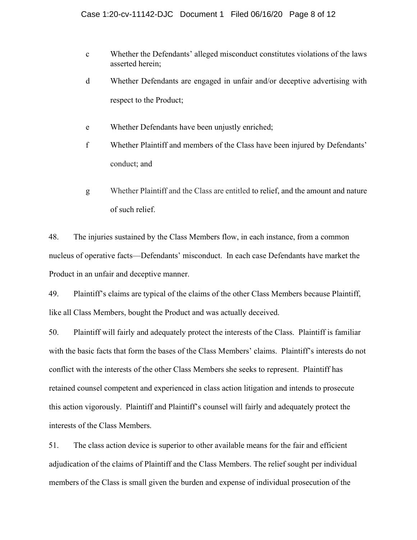- c Whether the Defendants' alleged misconduct constitutes violations of the laws asserted herein;
- d Whether Defendants are engaged in unfair and/or deceptive advertising with respect to the Product;
- e Whether Defendants have been unjustly enriched;
- f Whether Plaintiff and members of the Class have been injured by Defendants' conduct; and
- g Whether Plaintiff and the Class are entitled to relief, and the amount and nature of such relief.

48. The injuries sustained by the Class Members flow, in each instance, from a common nucleus of operative facts—Defendants' misconduct. In each case Defendants have market the Product in an unfair and deceptive manner.

49. Plaintiff's claims are typical of the claims of the other Class Members because Plaintiff, like all Class Members, bought the Product and was actually deceived.

50. Plaintiff will fairly and adequately protect the interests of the Class. Plaintiff is familiar with the basic facts that form the bases of the Class Members' claims. Plaintiff's interests do not conflict with the interests of the other Class Members she seeks to represent. Plaintiff has retained counsel competent and experienced in class action litigation and intends to prosecute this action vigorously. Plaintiff and Plaintiff's counsel will fairly and adequately protect the interests of the Class Members.

51. The class action device is superior to other available means for the fair and efficient adjudication of the claims of Plaintiff and the Class Members. The relief sought per individual members of the Class is small given the burden and expense of individual prosecution of the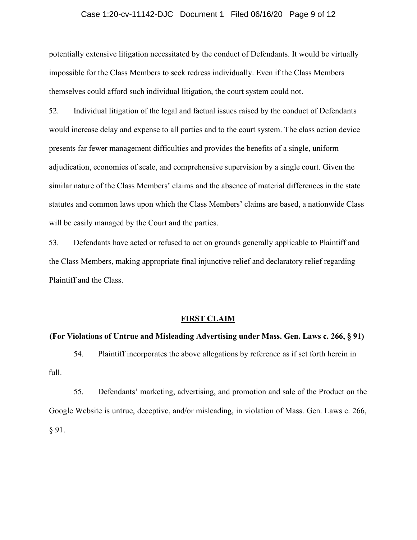## Case 1:20-cv-11142-DJC Document 1 Filed 06/16/20 Page 9 of 12

potentially extensive litigation necessitated by the conduct of Defendants. It would be virtually impossible for the Class Members to seek redress individually. Even if the Class Members themselves could afford such individual litigation, the court system could not.

52. Individual litigation of the legal and factual issues raised by the conduct of Defendants would increase delay and expense to all parties and to the court system. The class action device presents far fewer management difficulties and provides the benefits of a single, uniform adjudication, economies of scale, and comprehensive supervision by a single court. Given the similar nature of the Class Members' claims and the absence of material differences in the state statutes and common laws upon which the Class Members' claims are based, a nationwide Class will be easily managed by the Court and the parties.

53. Defendants have acted or refused to act on grounds generally applicable to Plaintiff and the Class Members, making appropriate final injunctive relief and declaratory relief regarding Plaintiff and the Class.

## FIRST CLAIM

#### (For Violations of Untrue and Misleading Advertising under Mass. Gen. Laws c. 266, § 91)

54. Plaintiff incorporates the above allegations by reference as if set forth herein in full.

55. Defendants' marketing, advertising, and promotion and sale of the Product on the Google Website is untrue, deceptive, and/or misleading, in violation of Mass. Gen. Laws c. 266, § 91.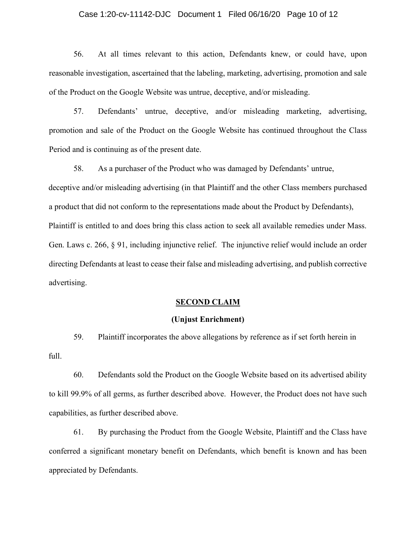## Case 1:20-cv-11142-DJC Document 1 Filed 06/16/20 Page 10 of 12

56. At all times relevant to this action, Defendants knew, or could have, upon reasonable investigation, ascertained that the labeling, marketing, advertising, promotion and sale of the Product on the Google Website was untrue, deceptive, and/or misleading.

57. Defendants' untrue, deceptive, and/or misleading marketing, advertising, promotion and sale of the Product on the Google Website has continued throughout the Class Period and is continuing as of the present date.

58. As a purchaser of the Product who was damaged by Defendants' untrue, deceptive and/or misleading advertising (in that Plaintiff and the other Class members purchased a product that did not conform to the representations made about the Product by Defendants), Plaintiff is entitled to and does bring this class action to seek all available remedies under Mass. Gen. Laws c. 266, § 91, including injunctive relief. The injunctive relief would include an order directing Defendants at least to cease their false and misleading advertising, and publish corrective advertising.

## SECOND CLAIM

#### (Unjust Enrichment)

59. Plaintiff incorporates the above allegations by reference as if set forth herein in full.

60. Defendants sold the Product on the Google Website based on its advertised ability to kill 99.9% of all germs, as further described above. However, the Product does not have such capabilities, as further described above.

61. By purchasing the Product from the Google Website, Plaintiff and the Class have conferred a significant monetary benefit on Defendants, which benefit is known and has been appreciated by Defendants.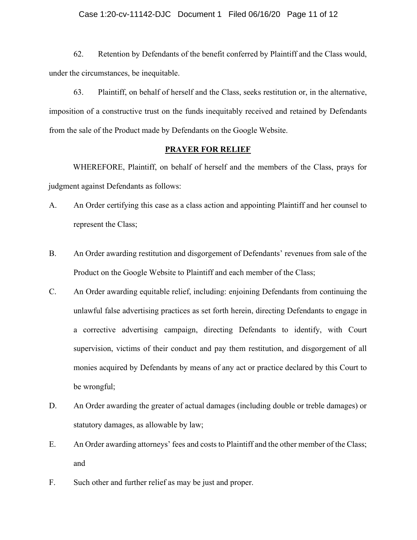## Case 1:20-cv-11142-DJC Document 1 Filed 06/16/20 Page 11 of 12

62. Retention by Defendants of the benefit conferred by Plaintiff and the Class would, under the circumstances, be inequitable.

63. Plaintiff, on behalf of herself and the Class, seeks restitution or, in the alternative, imposition of a constructive trust on the funds inequitably received and retained by Defendants from the sale of the Product made by Defendants on the Google Website.

## PRAYER FOR RELIEF

WHEREFORE, Plaintiff, on behalf of herself and the members of the Class, prays for judgment against Defendants as follows:

- A. An Order certifying this case as a class action and appointing Plaintiff and her counsel to represent the Class;
- B. An Order awarding restitution and disgorgement of Defendants' revenues from sale of the Product on the Google Website to Plaintiff and each member of the Class;
- C. An Order awarding equitable relief, including: enjoining Defendants from continuing the unlawful false advertising practices as set forth herein, directing Defendants to engage in a corrective advertising campaign, directing Defendants to identify, with Court supervision, victims of their conduct and pay them restitution, and disgorgement of all monies acquired by Defendants by means of any act or practice declared by this Court to be wrongful;
- D. An Order awarding the greater of actual damages (including double or treble damages) or statutory damages, as allowable by law;
- E. An Order awarding attorneys' fees and costs to Plaintiff and the other member of the Class; and
- F. Such other and further relief as may be just and proper.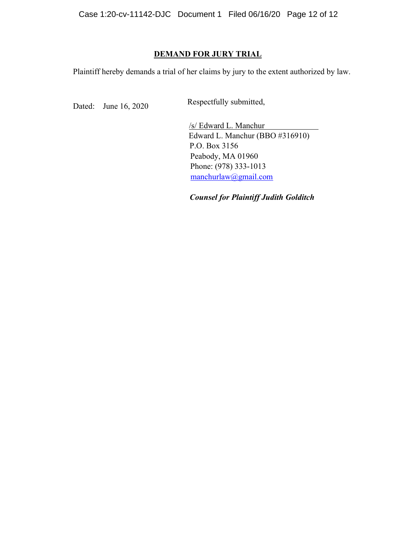# DEMAND FOR JURY TRIAL

Plaintiff hereby demands a trial of her claims by jury to the extent authorized by law.

Dated: June 16, 2020 Respectfully submitted,

/s/ Edward L. Manchur Edward L. Manchur (BBO #316910) P.O. Box 3156 Peabody, MA 01960 Phone: (978) 333-1013 manchurlaw@gmail.com

Counsel for Plaintiff Judith Golditch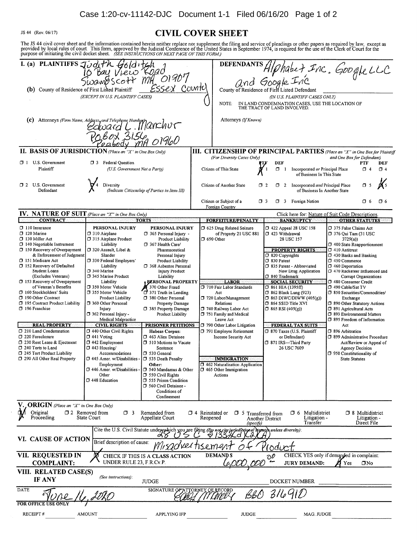# Case 1:20-cv-11142-DJC Document 1-1 Filed 06/16/20 Page 1 of 2

JS 44 (Rev. 06/17) **CIVIL COVER SHEET** The JS 44 civil cover sheet and the information contained herein neither replace nor supplement the filing and service of pleadings or other papers as required by law, except as provided by local rules of court. This form, I. (a) PLAINTIFFS Judith Gold itch<br>10 Bay View Koad<br>Swampscott Mill 01907 **DEFENDANTS** DEFENDANTS HIP habe + Inc. Google LLC<br>and Google Inc ssex Counte (b) County of Residence of First Listed Plaintiff (EXCEPT IN U.S. PLAINTIFF CASES) (IN U.S. PLAINTIFF CASES ONLY) IN LAND CONDEMNATION CASES, USE THE LOCATION OF NOTE: THE TRACT OF LAND INVOLVED (c) Attorneys (Firm Name, Address<sub>n</sub> and Telephone Nun Attorneys (If Known) Address, and Telephone Numbert 2017 II. BASIS OF JURISDICTION (Place an "X" in One Box Only) **III. CITIZENSHIP OF PRINCIPAL PARTIES** (Place an "X" in One Box for Plaintiff (For Diversity Cases Only) and One Box for Defendant) **CI** 1 U.S. Government 3 Federal Ouestion DEF DEF **PTF** Plaintiff (U.S. Government Not a Party) Citizen of This State Incorporated or Principal Place  $\Box$  4  $\Box$  1  $\Box$  4 of Business In This State 2 U.S. Government Incorporated and Principal Place  $\Box$  5 Diversity Citizen of Another State  $\Box$  2  $\Box$  2 Defendant (Indicate Citizenship of Parties in Item III) of Business In Another State Citizen or Subject of a  $\Box$  3 3 Foreign Nation  $\Box$  6  $\Box$  6 Foreign Country **NATURE OF SUIT** (Place an "X" in One Box Only) IV. Click here for: Nature of Suit Code Descriptions **CONTRACT TORTS FORFEITURE/PENALTY BANKRUPTCY OTHER STATUTES**  $\Box$  110 Insurance PERSONAL INJURY 5 625 Drug Related Seizure PERSONAL INJURY 422 Appeal 28 USC 158 □ 375 False Claims Act 7 120 Marine 310 Airplane 7 365 Personal Injury of Property 21 USC 881  $\Box$  423 Withdrawal 7376 Qui Tam (31 USC 130 Miller Act 315 Airplane Product Product Liability  $\Box$  690 Other 28 USC 157  $3729(a)$  $\Box$  140 Negotiable Instrument Liability 7 367 Health Care/ 1 400 State Reapportionment □ 150 Recovery of Overpayment J 320 Assault, Libel & Pharmaceutical **PROPERTY RIGHTS**  $\Box$  410 Antitrust & Enforcement of Judgmen Slander Personal Injury 7 820 Copyrights 7 430 Banks and Banking 151 Medicare Act □ 330 Federal Employers' Product Liability 7 830 Patent □ 450 Commerce  $\Box$ 152 Recovery of Defaulted Liability □ 368 Asbestos Personal 335 Patent - Abbreviated 1 460 Deportation CJ 340 Marine Student Loans **Injury Product** New Drug Application 7 470 Racketeer Influenced and (Excludes Veterans)  $\Box$ 345 Marine Product Liability □ 840 Trademark Corrupt Organizations **PERSONAL PROPERTY SOCIAL SECURITY** 153 Recovery of Overpayment Liability **LABOR** 480 Consumer Credit of Veteran's Benefits 7 350 Motor Vehicle 370 Other Fraud 710 Fair Labor Standards □ 861 HIA (1395ff) T 490 Cable/Sat TV 160 Stockholders' Suits 355 Motor Vehicle 371 Truth in Lending Act 362 Black Lung (923) 5 850 Securities/Commodities/  $\Box$ 720 Labor/Management 7 190 Other Contract Product Liability 380 Other Personal  $\Box$  863 DIWC/DIWW (405(g)) Exchange <sup>1</sup> 195 Contract Product Liability 360 Other Personal Property Damage Relations 364 SSID Title XVI 1 890 Other Statutory Actions 7 196 Franchise Injury □ 385 Property Damage 740 Railway Labor Act  $\Box$  865 RSI (405(g)) □ 891 Agricultural Acts 362 Personal Injury -Product Liability 751 Family and Medical 7 893 Environmental Matters Medical Malpractice Leave Act □ 895 Freedom of Information **REAL PROPERTY CIVIL RIGHTS PRISONER PETITIONS** 790 Other Labor Litigation FEDERAL TAX SUITS Act 7 210 Land Condemnation □ 440 Other Civil Rights **Habeas Corpus:** 791 Employee Retirement 370 Taxes (U.S. Plaintiff 396 Arbitration 7 220 Foreclosure  $\Box$  441 Voting 463 Alien Detainee or Defendant) □ 899 Administrative Procedure Income Security Act 230 Rent Lease & Eiectment  $\square$  442 Employment 371 IRS-Third Party Act/Review or Appeal of 510 Motions to Vacate 7 240 Torts to Land  $\Box$  443 Housing/ 26 USC 7609 Agency Decision Sentence 7 245 Tort Product Liability Accommodations 530 General 7 950 Constitutionality of 7 290 All Other Real Property  $\Box$  445 Amer w/Disabilities **IMMIGRATION** T 535 Death Penalty **State Statutes** Employment Other: 7 462 Naturalization Application J 446 Amer. w/Disabilities . □ 540 Mandamus & Other 3 465 Other Immigration 550 Civil Rights Other Actions □ 448 Education 555 Prison Condition □ 560 Civil Detainee Conditions of Confinement **ORIGIN** (Place an "X" in One Box Only)  $\square$  2 Removed from Original  $\Box$  4 Reinstated or  $\Box$  5 Transferred from  $\Box$  3 Remanded from  $\Box$  6 Multidistrict <sup>1</sup>8 Multidistrict Proceeding Appellate Court State Court Reopened Another District Litigation -Litigation -Transfer Direct File (specify, Cite the U.S. Civil Statute under which you are filing (Do not cite juri svantes unless diversity) VI. CAUSE OF ACTION Brief description of cause: advertisement rodic VII. REOUESTED IN **DEMANDS** CHECK IF THIS IS A CLASS ACTION CHECK YES only if demanded in complaint:  $\mathcal{D}^{\mathcal{D}}$ UNDER RULE 23, F.R.Cv.P. **COMPLAINT: JURY DEMAND:**  $\Box$ No Yes

| VIII. RELATED CASE(S)<br><b>IF ANY</b> | (See instructions): | <b>JUDGE</b>                                |              | DOCKET NUMBER |  |
|----------------------------------------|---------------------|---------------------------------------------|--------------|---------------|--|
| DATE                                   |                     | SIGNATURE OF ATTORMEY OF RECORD<br>n<br>וכז | ӃӃӷ          |               |  |
| <b>FOR OFFICE USE ONLY</b>             |                     |                                             |              |               |  |
| <b>RECEIPT#</b>                        | AMOUNT              | <b>APPLYING IFP</b>                         | <b>JUDGE</b> | MAG. JUDGE    |  |